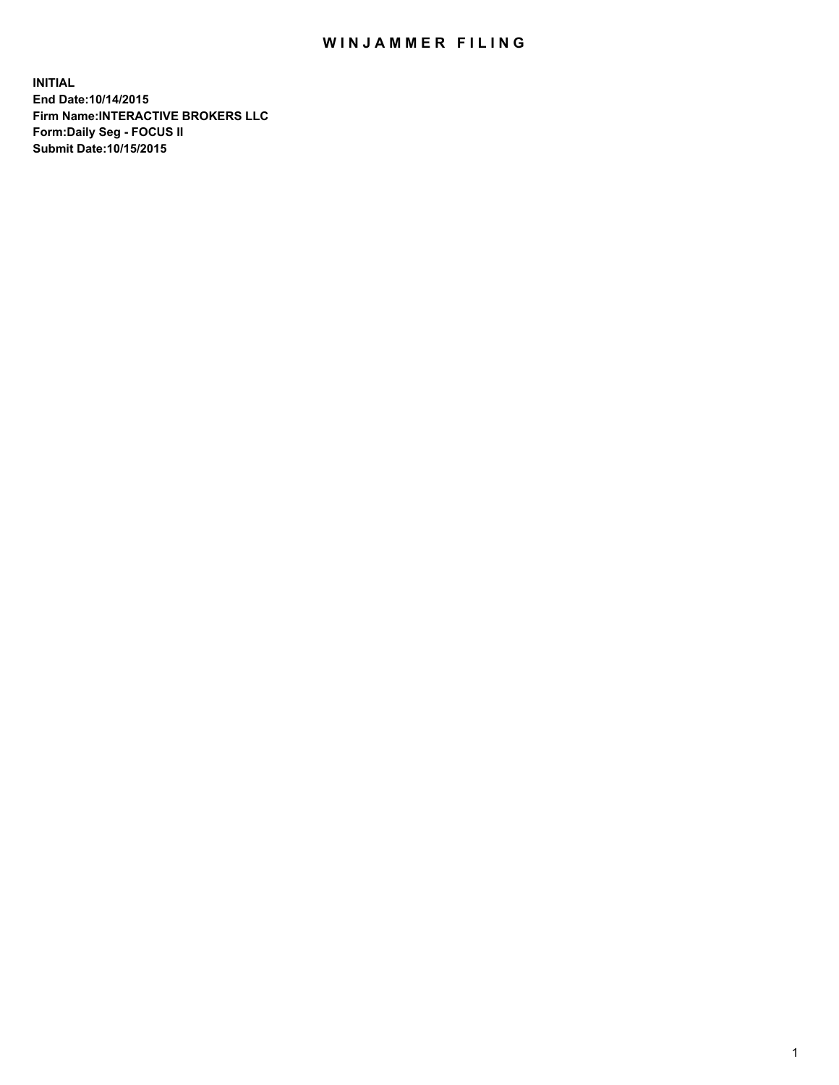## WIN JAMMER FILING

**INITIAL End Date:10/14/2015 Firm Name:INTERACTIVE BROKERS LLC Form:Daily Seg - FOCUS II Submit Date:10/15/2015**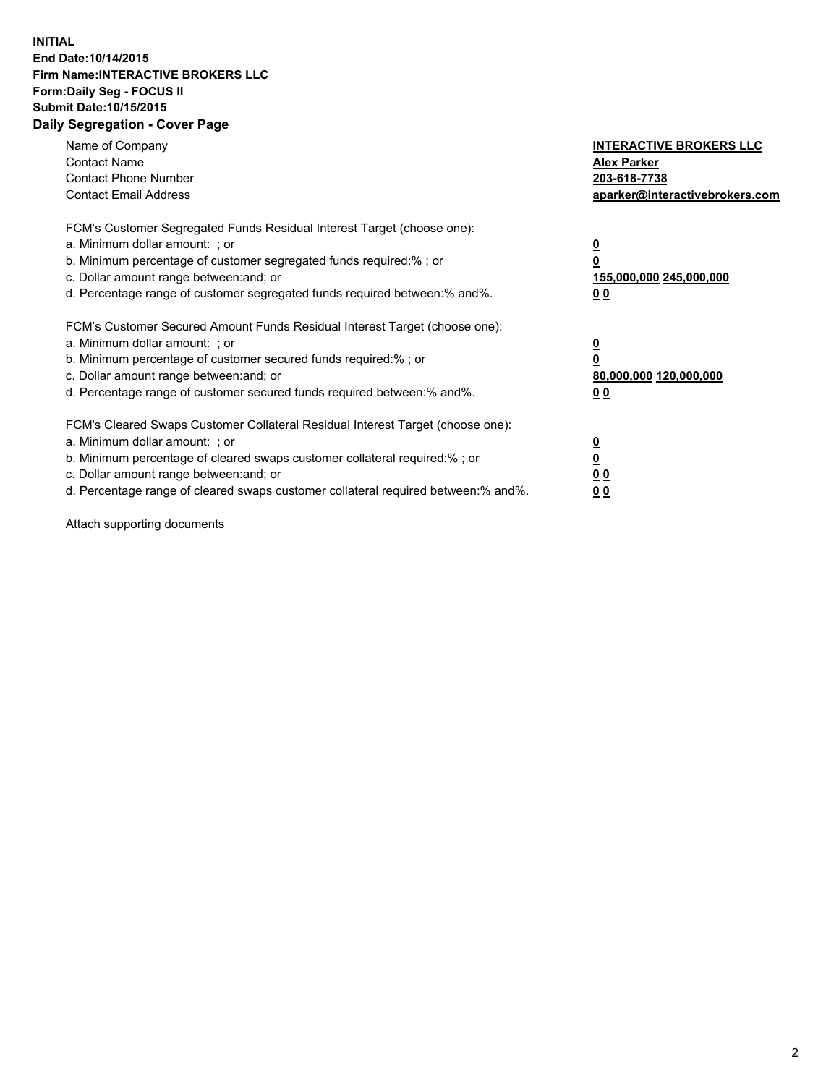## **INITIAL End Date:10/14/2015 Firm Name:INTERACTIVE BROKERS LLC Form:Daily Seg - FOCUS II Submit Date:10/15/2015 Daily Segregation - Cover Page**

| Name of Company<br><b>Contact Name</b><br><b>Contact Phone Number</b><br><b>Contact Email Address</b>                                                                                                                                                                                                                         | <b>INTERACTIVE BROKERS LLC</b><br><b>Alex Parker</b><br>203-618-7738<br>aparker@interactivebrokers.com |
|-------------------------------------------------------------------------------------------------------------------------------------------------------------------------------------------------------------------------------------------------------------------------------------------------------------------------------|--------------------------------------------------------------------------------------------------------|
| FCM's Customer Segregated Funds Residual Interest Target (choose one):<br>a. Minimum dollar amount: ; or<br>b. Minimum percentage of customer segregated funds required:% ; or<br>c. Dollar amount range between: and; or<br>d. Percentage range of customer segregated funds required between:% and%.                        | <u>0</u><br><u>155,000,000 245,000,000</u><br>00                                                       |
| FCM's Customer Secured Amount Funds Residual Interest Target (choose one):<br>a. Minimum dollar amount: ; or<br>b. Minimum percentage of customer secured funds required:% ; or<br>c. Dollar amount range between: and; or<br>d. Percentage range of customer secured funds required between: % and %.                        | $\overline{\mathbf{0}}$<br>80,000,000 120,000,000<br>00                                                |
| FCM's Cleared Swaps Customer Collateral Residual Interest Target (choose one):<br>a. Minimum dollar amount: ; or<br>b. Minimum percentage of cleared swaps customer collateral required:%; or<br>c. Dollar amount range between: and; or<br>d. Percentage range of cleared swaps customer collateral required between:% and%. | <u>0</u><br>0 <sub>0</sub><br><u>00</u>                                                                |

Attach supporting documents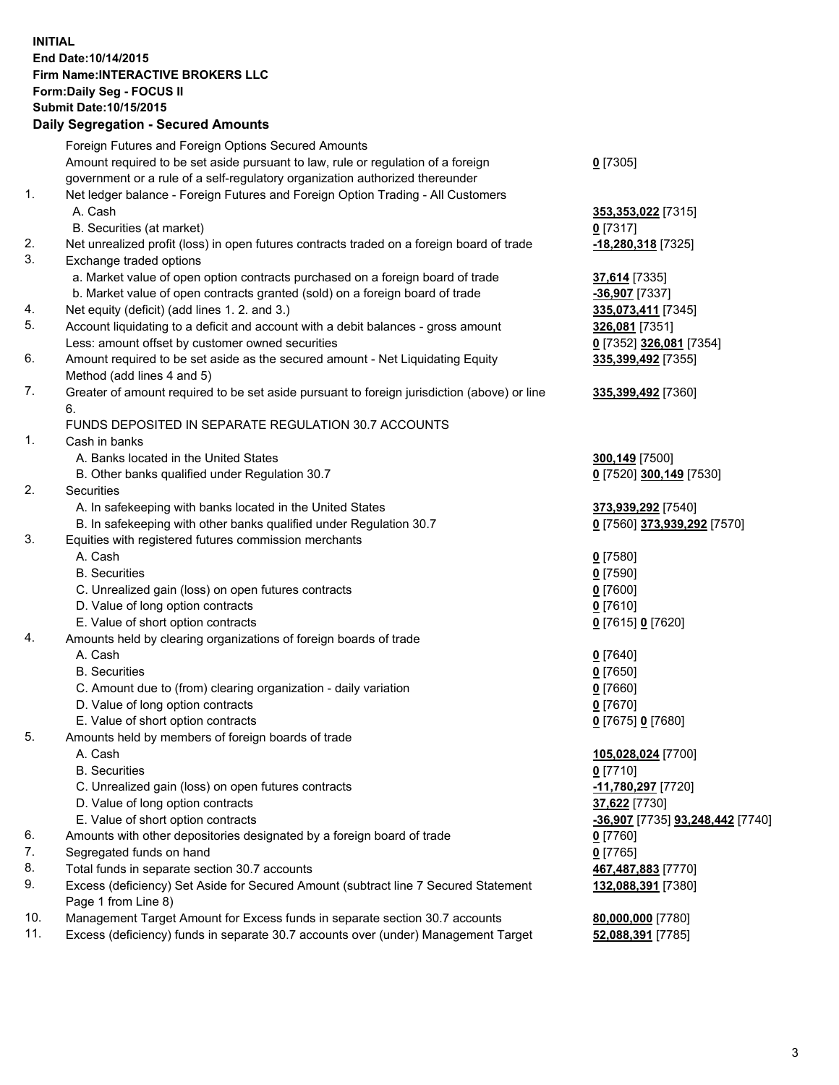## **INITIAL End Date:10/14/2015 Firm Name:INTERACTIVE BROKERS LLC Form:Daily Seg - FOCUS II Submit Date:10/15/2015 Daily Segregation - Secured Amounts**

|                | Dany Ocgregation - Occurea Aniounts                                                                  |                                  |
|----------------|------------------------------------------------------------------------------------------------------|----------------------------------|
|                | Foreign Futures and Foreign Options Secured Amounts                                                  |                                  |
|                | Amount required to be set aside pursuant to law, rule or regulation of a foreign                     | $0$ [7305]                       |
|                | government or a rule of a self-regulatory organization authorized thereunder                         |                                  |
| 1.             | Net ledger balance - Foreign Futures and Foreign Option Trading - All Customers                      |                                  |
|                | A. Cash                                                                                              | 353,353,022 [7315]               |
|                | B. Securities (at market)                                                                            | $0$ [7317]                       |
| 2.             | Net unrealized profit (loss) in open futures contracts traded on a foreign board of trade            | -18,280,318 [7325]               |
| 3.             | Exchange traded options                                                                              |                                  |
|                | a. Market value of open option contracts purchased on a foreign board of trade                       | 37,614 [7335]                    |
|                | b. Market value of open contracts granted (sold) on a foreign board of trade                         | -36,907 [7337]                   |
| 4.             | Net equity (deficit) (add lines 1.2. and 3.)                                                         | 335,073,411 [7345]               |
| 5.             | Account liquidating to a deficit and account with a debit balances - gross amount                    | 326,081 [7351]                   |
|                | Less: amount offset by customer owned securities                                                     | 0 [7352] 326,081 [7354]          |
| 6.             | Amount required to be set aside as the secured amount - Net Liquidating Equity                       | 335,399,492 [7355]               |
|                | Method (add lines 4 and 5)                                                                           |                                  |
| 7.             | Greater of amount required to be set aside pursuant to foreign jurisdiction (above) or line          | 335,399,492 [7360]               |
|                | 6.                                                                                                   |                                  |
|                | FUNDS DEPOSITED IN SEPARATE REGULATION 30.7 ACCOUNTS                                                 |                                  |
| $\mathbf{1}$ . | Cash in banks                                                                                        |                                  |
|                | A. Banks located in the United States                                                                | 300,149 [7500]                   |
|                | B. Other banks qualified under Regulation 30.7                                                       | 0 [7520] 300,149 [7530]          |
| 2.             | Securities                                                                                           |                                  |
|                | A. In safekeeping with banks located in the United States                                            | 373,939,292 [7540]               |
|                | B. In safekeeping with other banks qualified under Regulation 30.7                                   | 0 [7560] 373,939,292 [7570]      |
| 3.             | Equities with registered futures commission merchants                                                |                                  |
|                | A. Cash                                                                                              | $0$ [7580]                       |
|                | <b>B.</b> Securities                                                                                 | $0$ [7590]                       |
|                | C. Unrealized gain (loss) on open futures contracts                                                  | $0$ [7600]                       |
|                | D. Value of long option contracts                                                                    | $0$ [7610]                       |
|                | E. Value of short option contracts                                                                   | 0 [7615] 0 [7620]                |
| 4.             | Amounts held by clearing organizations of foreign boards of trade                                    |                                  |
|                | A. Cash                                                                                              | $0$ [7640]                       |
|                | <b>B.</b> Securities                                                                                 | $0$ [7650]                       |
|                | C. Amount due to (from) clearing organization - daily variation<br>D. Value of long option contracts | $0$ [7660]                       |
|                | E. Value of short option contracts                                                                   | $0$ [7670]                       |
| 5.             |                                                                                                      | 0 [7675] 0 [7680]                |
|                | Amounts held by members of foreign boards of trade<br>A. Cash                                        | 105,028,024 [7700]               |
|                | <b>B.</b> Securities                                                                                 | $0$ [7710]                       |
|                | C. Unrealized gain (loss) on open futures contracts                                                  | -11,780,297 [7720]               |
|                | D. Value of long option contracts                                                                    | 37,622 [7730]                    |
|                | E. Value of short option contracts                                                                   | -36,907 [7735] 93,248,442 [7740] |
| 6.             | Amounts with other depositories designated by a foreign board of trade                               | $0$ [7760]                       |
| 7.             | Segregated funds on hand                                                                             | $0$ [7765]                       |
| 8.             | Total funds in separate section 30.7 accounts                                                        | 467,487,883 [7770]               |
| 9.             | Excess (deficiency) Set Aside for Secured Amount (subtract line 7 Secured Statement                  | 132,088,391 [7380]               |
|                | Page 1 from Line 8)                                                                                  |                                  |
| 10.            | Management Target Amount for Excess funds in separate section 30.7 accounts                          | 80,000,000 [7780]                |
| 11.            | Excess (deficiency) funds in separate 30.7 accounts over (under) Management Target                   | 52,088,391 [7785]                |
|                |                                                                                                      |                                  |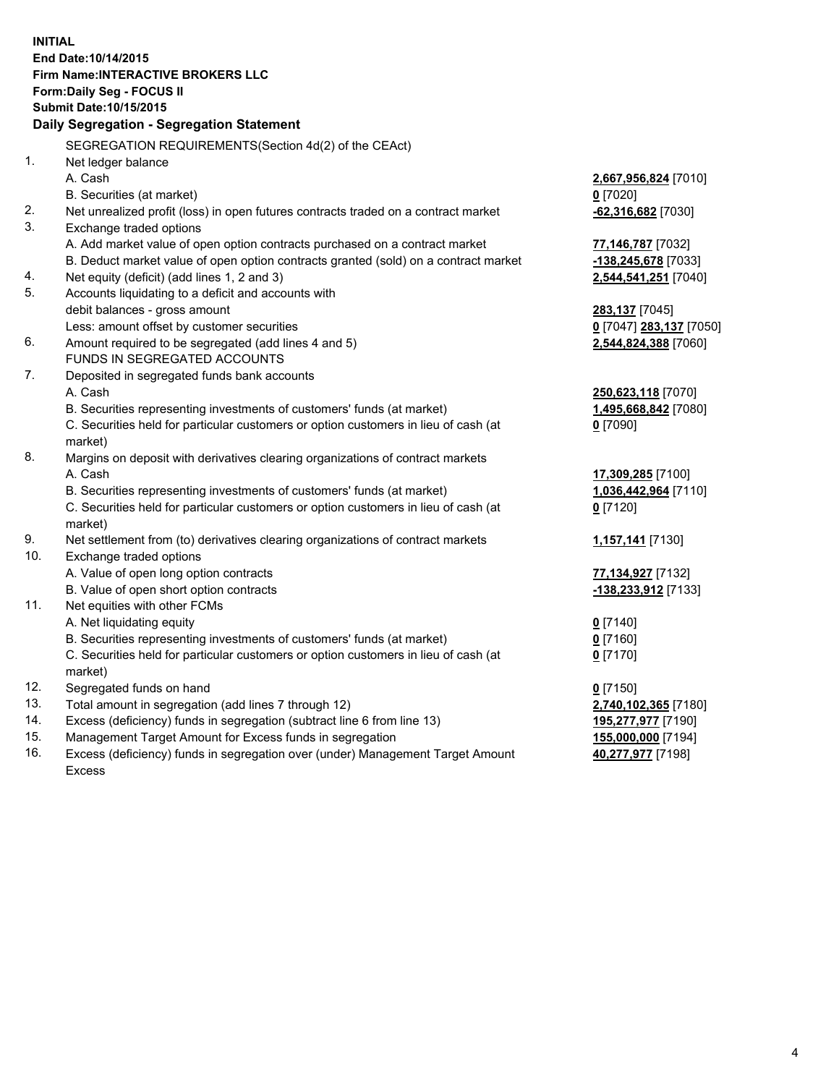**INITIAL End Date:10/14/2015 Firm Name:INTERACTIVE BROKERS LLC Form:Daily Seg - FOCUS II Submit Date:10/15/2015 Daily Segregation - Segregation Statement** SEGREGATION REQUIREMENTS(Section 4d(2) of the CEAct) 1. Net ledger balance A. Cash **2,667,956,824** [7010] B. Securities (at market) **0** [7020] 2. Net unrealized profit (loss) in open futures contracts traded on a contract market **-62,316,682** [7030] 3. Exchange traded options A. Add market value of open option contracts purchased on a contract market **77,146,787** [7032] B. Deduct market value of open option contracts granted (sold) on a contract market **-138,245,678** [7033] 4. Net equity (deficit) (add lines 1, 2 and 3) **2,544,541,251** [7040] 5. Accounts liquidating to a deficit and accounts with debit balances - gross amount **283,137** [7045] Less: amount offset by customer securities **0** [7047] **283,137** [7050] 6. Amount required to be segregated (add lines 4 and 5) **2,544,824,388** [7060] FUNDS IN SEGREGATED ACCOUNTS 7. Deposited in segregated funds bank accounts A. Cash **250,623,118** [7070] B. Securities representing investments of customers' funds (at market) **1,495,668,842** [7080] C. Securities held for particular customers or option customers in lieu of cash (at market) **0** [7090] 8. Margins on deposit with derivatives clearing organizations of contract markets A. Cash **17,309,285** [7100] B. Securities representing investments of customers' funds (at market) **1,036,442,964** [7110] C. Securities held for particular customers or option customers in lieu of cash (at market) **0** [7120] 9. Net settlement from (to) derivatives clearing organizations of contract markets **1,157,141** [7130] 10. Exchange traded options A. Value of open long option contracts **77,134,927** [7132] B. Value of open short option contracts **-138,233,912** [7133] 11. Net equities with other FCMs A. Net liquidating equity **0** [7140] B. Securities representing investments of customers' funds (at market) **0** [7160] C. Securities held for particular customers or option customers in lieu of cash (at market) **0** [7170] 12. Segregated funds on hand **0** [7150] 13. Total amount in segregation (add lines 7 through 12) **2,740,102,365** [7180] 14. Excess (deficiency) funds in segregation (subtract line 6 from line 13) **195,277,977** [7190] 15. Management Target Amount for Excess funds in segregation **155,000,000** [7194] **40,277,977** [7198]

16. Excess (deficiency) funds in segregation over (under) Management Target Amount Excess